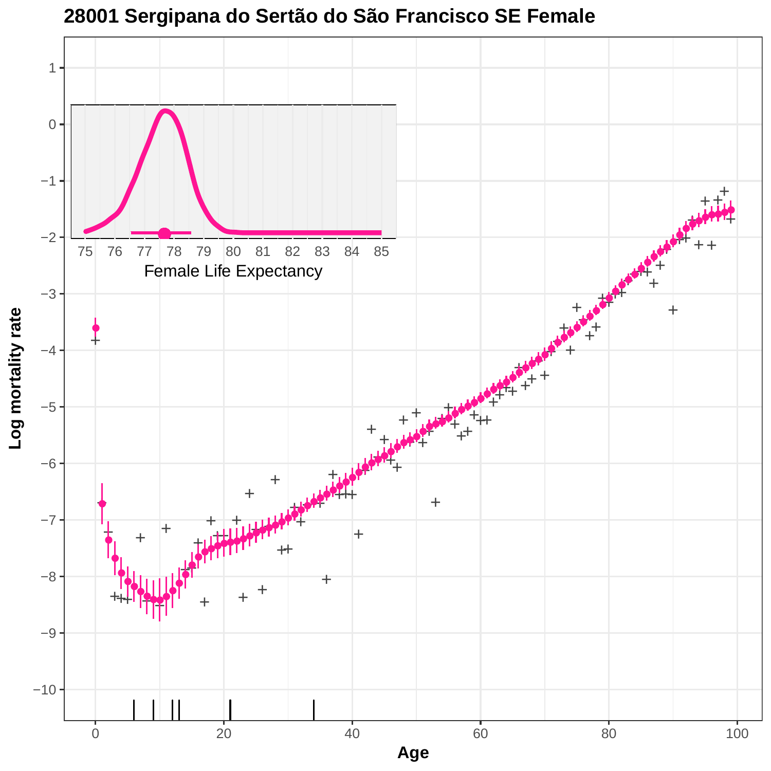

**28001 Sergipana do Sertão do São Francisco SE Female**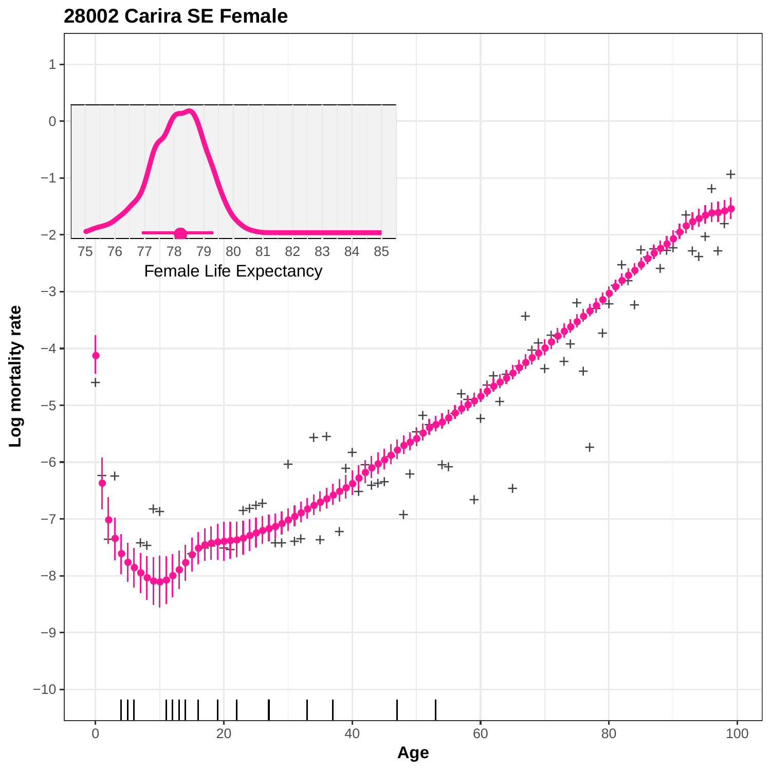

### **28002 Carira SE Female**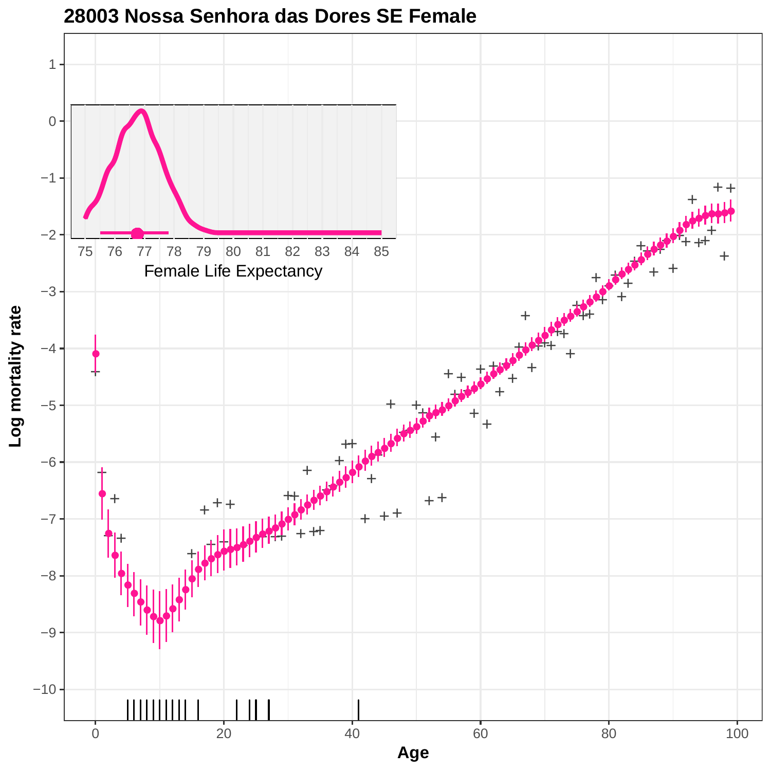

**28003 Nossa Senhora das Dores SE Female**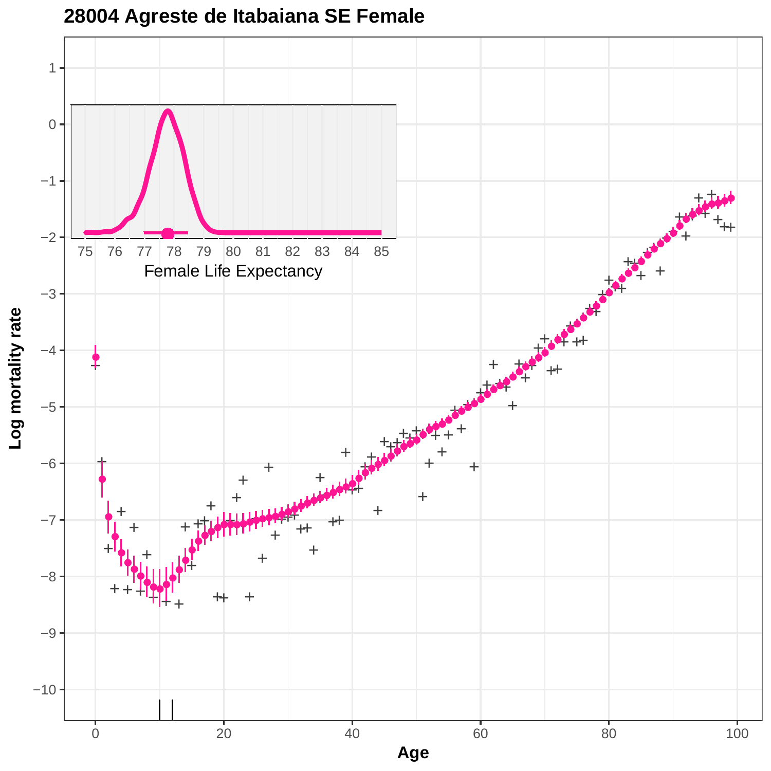

### **28004 Agreste de Itabaiana SE Female**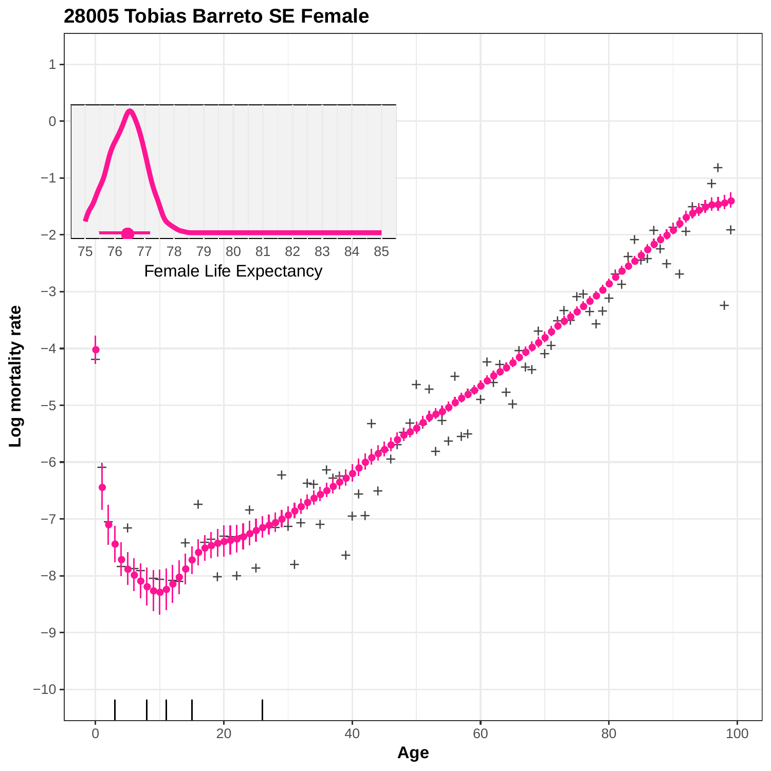

#### **28005 Tobias Barreto SE Female**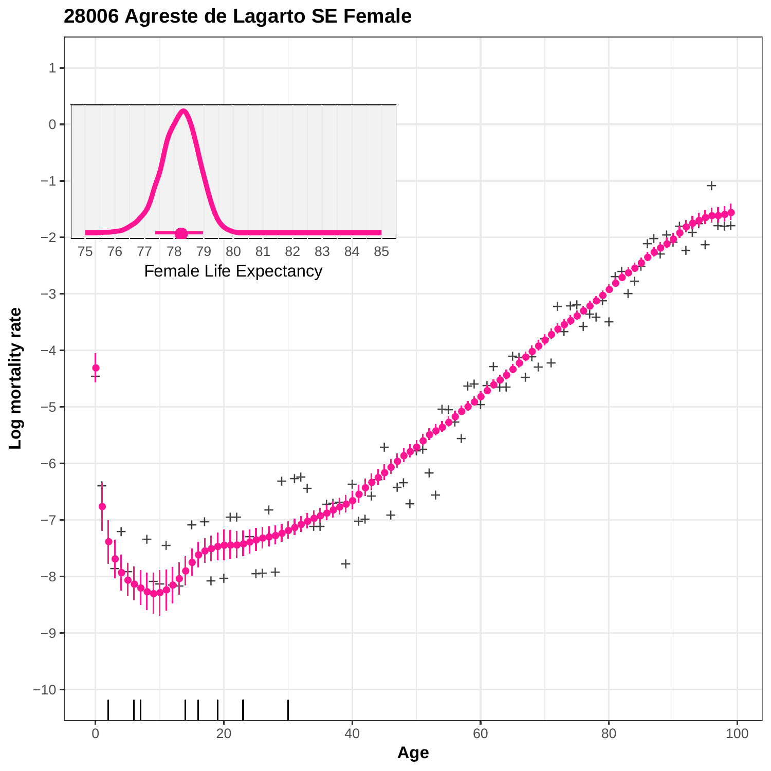

### **28006 Agreste de Lagarto SE Female**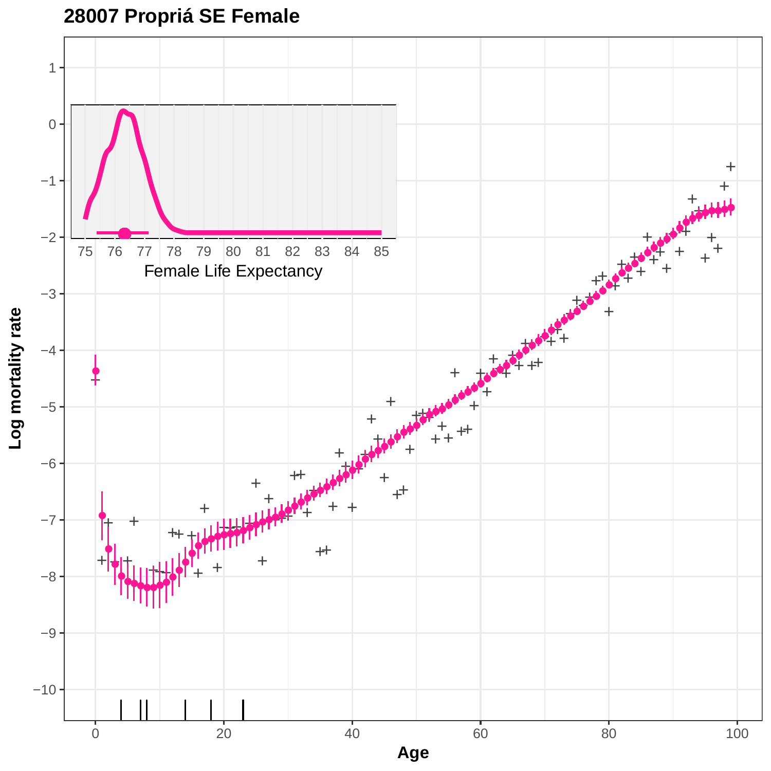# **28007 Propriá SE Female**

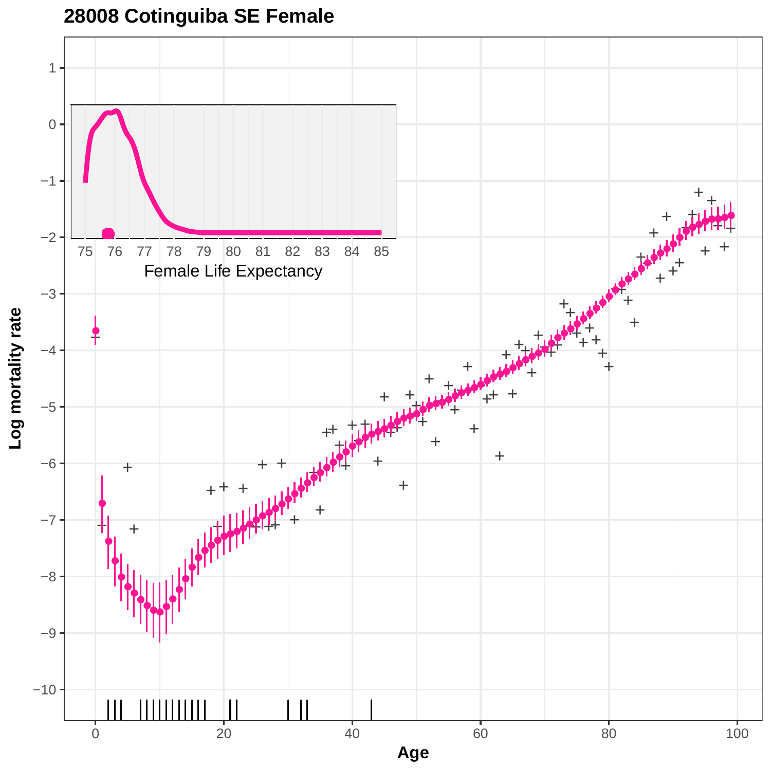

# **28008 Cotinguiba SE Female**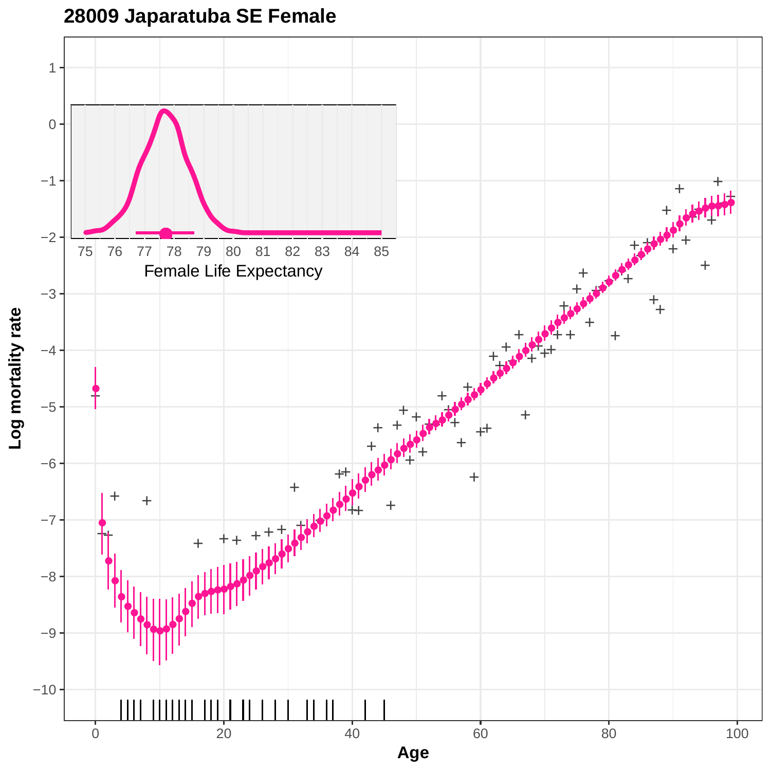

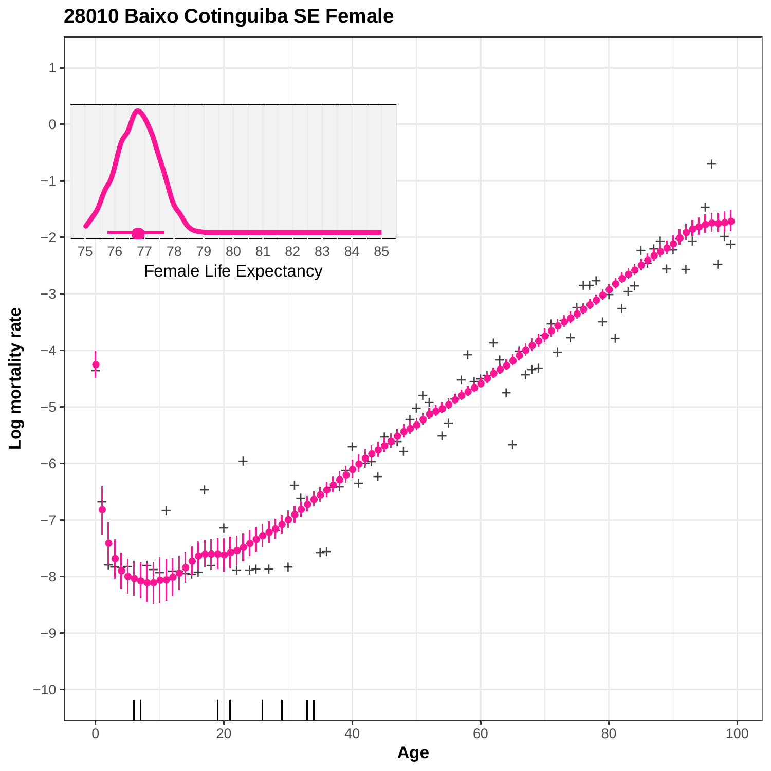

### **28010 Baixo Cotinguiba SE Female**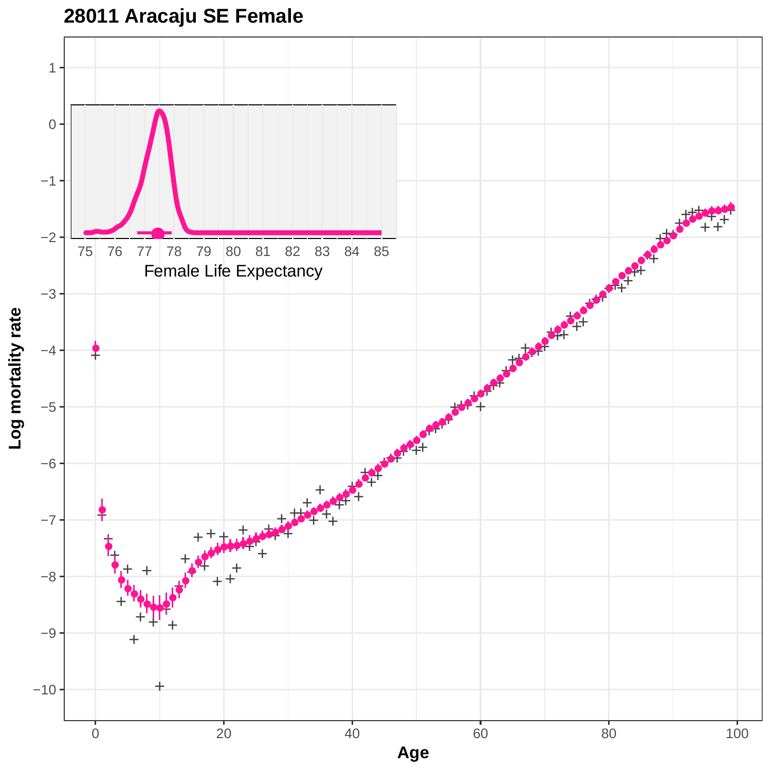

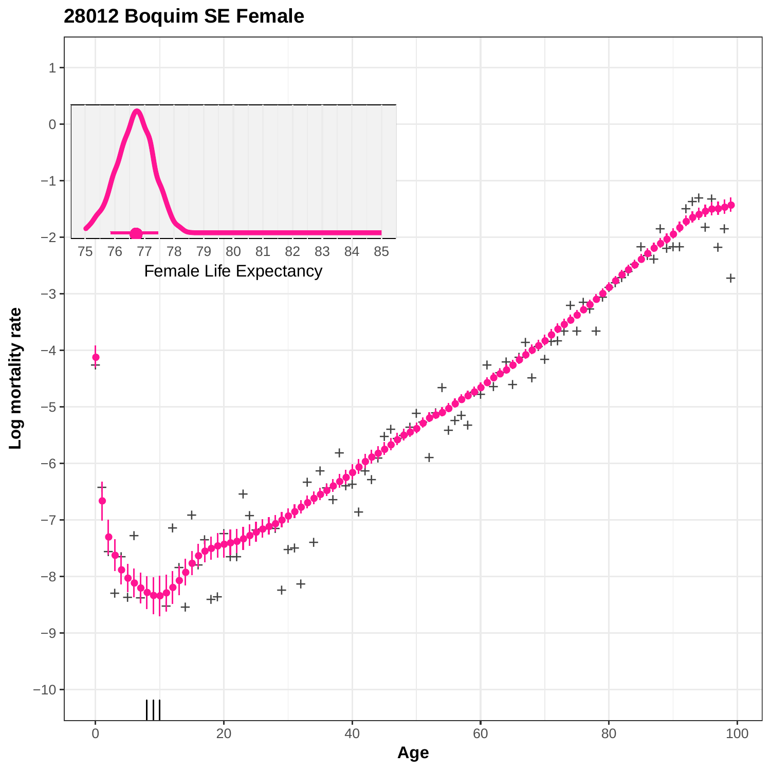